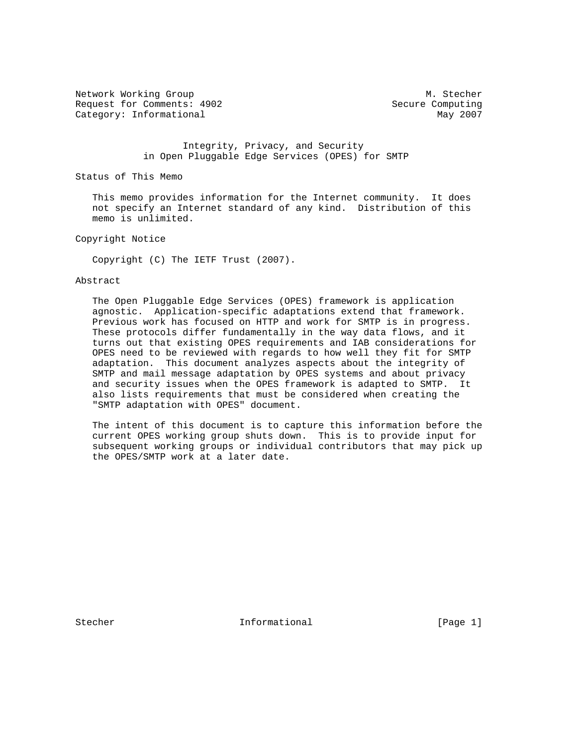Network Working Group Metwork Muslim Channels and Muslim Muslim Muslim Muslim Muslim Muslim Muslim Muslim Muslim Mu Request for Comments: 4902 Secure Computing Category: Informational May 2007

 Integrity, Privacy, and Security in Open Pluggable Edge Services (OPES) for SMTP

Status of This Memo

 This memo provides information for the Internet community. It does not specify an Internet standard of any kind. Distribution of this memo is unlimited.

Copyright Notice

Copyright (C) The IETF Trust (2007).

#### Abstract

 The Open Pluggable Edge Services (OPES) framework is application agnostic. Application-specific adaptations extend that framework. Previous work has focused on HTTP and work for SMTP is in progress. These protocols differ fundamentally in the way data flows, and it turns out that existing OPES requirements and IAB considerations for OPES need to be reviewed with regards to how well they fit for SMTP adaptation. This document analyzes aspects about the integrity of SMTP and mail message adaptation by OPES systems and about privacy and security issues when the OPES framework is adapted to SMTP. It also lists requirements that must be considered when creating the "SMTP adaptation with OPES" document.

 The intent of this document is to capture this information before the current OPES working group shuts down. This is to provide input for subsequent working groups or individual contributors that may pick up the OPES/SMTP work at a later date.

Stecher 1.1 Informational [Page 1]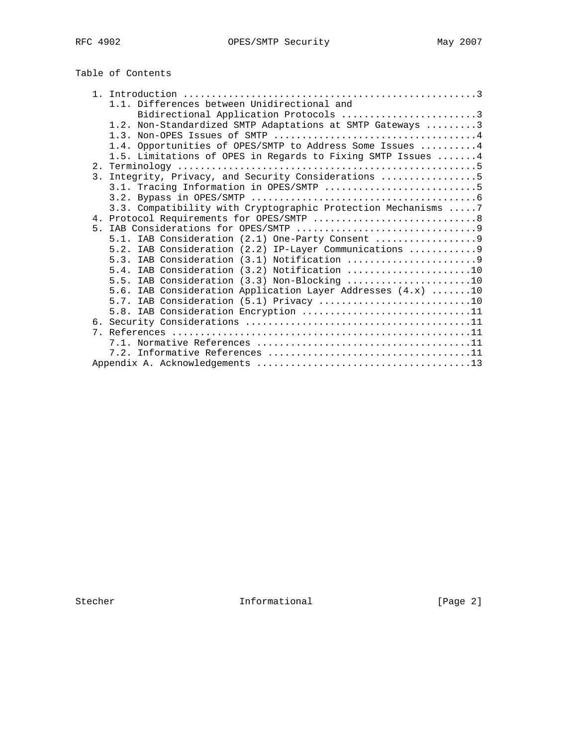# Table of Contents

|    | 1.1. Differences between Unidirectional and                    |
|----|----------------------------------------------------------------|
|    | Bidirectional Application Protocols 3                          |
|    | 1.2. Non-Standardized SMTP Adaptations at SMTP Gateways 3      |
|    |                                                                |
|    | 1.4. Opportunities of OPES/SMTP to Address Some Issues  4      |
|    | 1.5. Limitations of OPES in Regards to Fixing SMTP Issues 4    |
|    |                                                                |
| 3. | Integrity, Privacy, and Security Considerations 5              |
|    | 3.1. Tracing Information in OPES/SMTP 5                        |
|    |                                                                |
|    | 3.3. Compatibility with Cryptographic Protection Mechanisms  7 |
|    |                                                                |
|    |                                                                |
|    | 5.1. IAB Consideration (2.1) One-Party Consent                 |
|    | 5.2. IAB Consideration (2.2) IP-Layer Communications  9        |
|    |                                                                |
|    | 5.4. IAB Consideration (3.2) Notification 10                   |
|    | 5.5. IAB Consideration $(3.3)$ Non-Blocking 10                 |
|    | 5.6. IAB Consideration Application Layer Addresses $(4.x)$ 10  |
|    | 5.7. IAB Consideration (5.1) Privacy 10                        |
|    | 5.8. IAB Consideration Encryption 11                           |
|    |                                                                |
|    |                                                                |
|    |                                                                |
|    |                                                                |
|    |                                                                |

Stecher Informational [Page 2]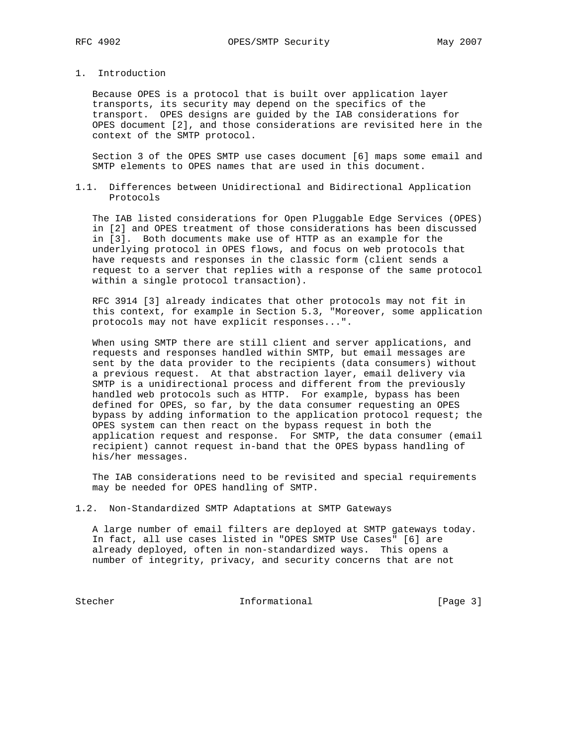# 1. Introduction

 Because OPES is a protocol that is built over application layer transports, its security may depend on the specifics of the transport. OPES designs are guided by the IAB considerations for OPES document [2], and those considerations are revisited here in the context of the SMTP protocol.

 Section 3 of the OPES SMTP use cases document [6] maps some email and SMTP elements to OPES names that are used in this document.

1.1. Differences between Unidirectional and Bidirectional Application Protocols

 The IAB listed considerations for Open Pluggable Edge Services (OPES) in [2] and OPES treatment of those considerations has been discussed in [3]. Both documents make use of HTTP as an example for the underlying protocol in OPES flows, and focus on web protocols that have requests and responses in the classic form (client sends a request to a server that replies with a response of the same protocol within a single protocol transaction).

 RFC 3914 [3] already indicates that other protocols may not fit in this context, for example in Section 5.3, "Moreover, some application protocols may not have explicit responses...".

 When using SMTP there are still client and server applications, and requests and responses handled within SMTP, but email messages are sent by the data provider to the recipients (data consumers) without a previous request. At that abstraction layer, email delivery via SMTP is a unidirectional process and different from the previously handled web protocols such as HTTP. For example, bypass has been defined for OPES, so far, by the data consumer requesting an OPES bypass by adding information to the application protocol request; the OPES system can then react on the bypass request in both the application request and response. For SMTP, the data consumer (email recipient) cannot request in-band that the OPES bypass handling of his/her messages.

 The IAB considerations need to be revisited and special requirements may be needed for OPES handling of SMTP.

1.2. Non-Standardized SMTP Adaptations at SMTP Gateways

 A large number of email filters are deployed at SMTP gateways today. In fact, all use cases listed in "OPES SMTP Use Cases" [6] are already deployed, often in non-standardized ways. This opens a number of integrity, privacy, and security concerns that are not

Stecher Informational [Page 3]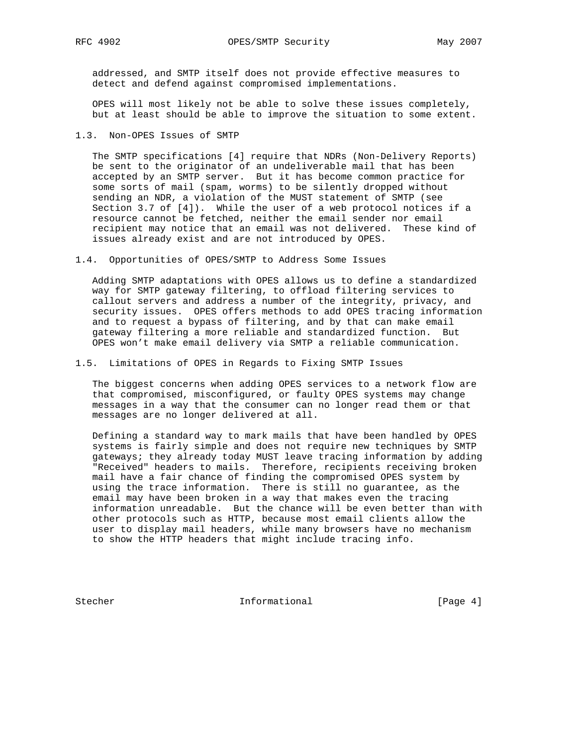addressed, and SMTP itself does not provide effective measures to detect and defend against compromised implementations.

 OPES will most likely not be able to solve these issues completely, but at least should be able to improve the situation to some extent.

1.3. Non-OPES Issues of SMTP

 The SMTP specifications [4] require that NDRs (Non-Delivery Reports) be sent to the originator of an undeliverable mail that has been accepted by an SMTP server. But it has become common practice for some sorts of mail (spam, worms) to be silently dropped without sending an NDR, a violation of the MUST statement of SMTP (see Section 3.7 of [4]). While the user of a web protocol notices if a resource cannot be fetched, neither the email sender nor email recipient may notice that an email was not delivered. These kind of issues already exist and are not introduced by OPES.

1.4. Opportunities of OPES/SMTP to Address Some Issues

 Adding SMTP adaptations with OPES allows us to define a standardized way for SMTP gateway filtering, to offload filtering services to callout servers and address a number of the integrity, privacy, and security issues. OPES offers methods to add OPES tracing information and to request a bypass of filtering, and by that can make email gateway filtering a more reliable and standardized function. But OPES won't make email delivery via SMTP a reliable communication.

1.5. Limitations of OPES in Regards to Fixing SMTP Issues

 The biggest concerns when adding OPES services to a network flow are that compromised, misconfigured, or faulty OPES systems may change messages in a way that the consumer can no longer read them or that messages are no longer delivered at all.

 Defining a standard way to mark mails that have been handled by OPES systems is fairly simple and does not require new techniques by SMTP gateways; they already today MUST leave tracing information by adding "Received" headers to mails. Therefore, recipients receiving broken mail have a fair chance of finding the compromised OPES system by using the trace information. There is still no guarantee, as the email may have been broken in a way that makes even the tracing information unreadable. But the chance will be even better than with other protocols such as HTTP, because most email clients allow the user to display mail headers, while many browsers have no mechanism to show the HTTP headers that might include tracing info.

Stecher 1nformational [Page 4]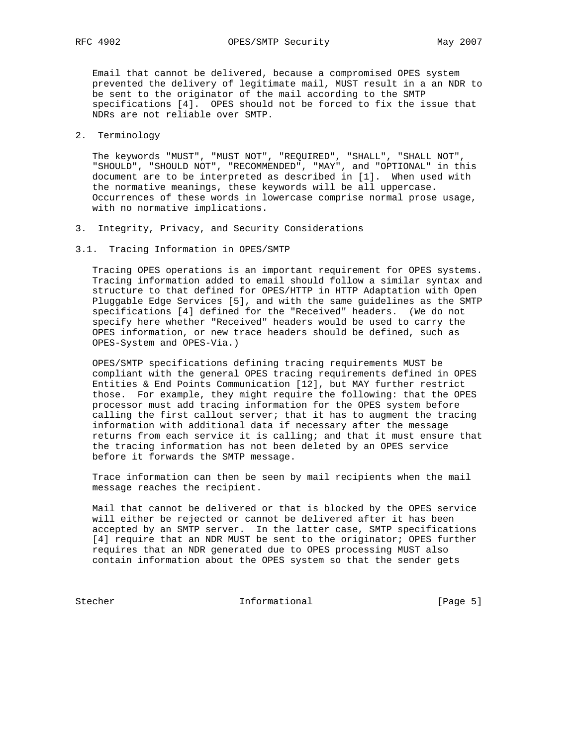Email that cannot be delivered, because a compromised OPES system prevented the delivery of legitimate mail, MUST result in a an NDR to be sent to the originator of the mail according to the SMTP specifications [4]. OPES should not be forced to fix the issue that NDRs are not reliable over SMTP.

## 2. Terminology

 The keywords "MUST", "MUST NOT", "REQUIRED", "SHALL", "SHALL NOT", "SHOULD", "SHOULD NOT", "RECOMMENDED", "MAY", and "OPTIONAL" in this document are to be interpreted as described in [1]. When used with the normative meanings, these keywords will be all uppercase. Occurrences of these words in lowercase comprise normal prose usage, with no normative implications.

- 3. Integrity, Privacy, and Security Considerations
- 3.1. Tracing Information in OPES/SMTP

 Tracing OPES operations is an important requirement for OPES systems. Tracing information added to email should follow a similar syntax and structure to that defined for OPES/HTTP in HTTP Adaptation with Open Pluggable Edge Services [5], and with the same guidelines as the SMTP specifications [4] defined for the "Received" headers. (We do not specify here whether "Received" headers would be used to carry the OPES information, or new trace headers should be defined, such as OPES-System and OPES-Via.)

 OPES/SMTP specifications defining tracing requirements MUST be compliant with the general OPES tracing requirements defined in OPES Entities & End Points Communication [12], but MAY further restrict those. For example, they might require the following: that the OPES processor must add tracing information for the OPES system before calling the first callout server; that it has to augment the tracing information with additional data if necessary after the message returns from each service it is calling; and that it must ensure that the tracing information has not been deleted by an OPES service before it forwards the SMTP message.

 Trace information can then be seen by mail recipients when the mail message reaches the recipient.

 Mail that cannot be delivered or that is blocked by the OPES service will either be rejected or cannot be delivered after it has been accepted by an SMTP server. In the latter case, SMTP specifications [4] require that an NDR MUST be sent to the originator; OPES further requires that an NDR generated due to OPES processing MUST also contain information about the OPES system so that the sender gets

Stecher Informational [Page 5]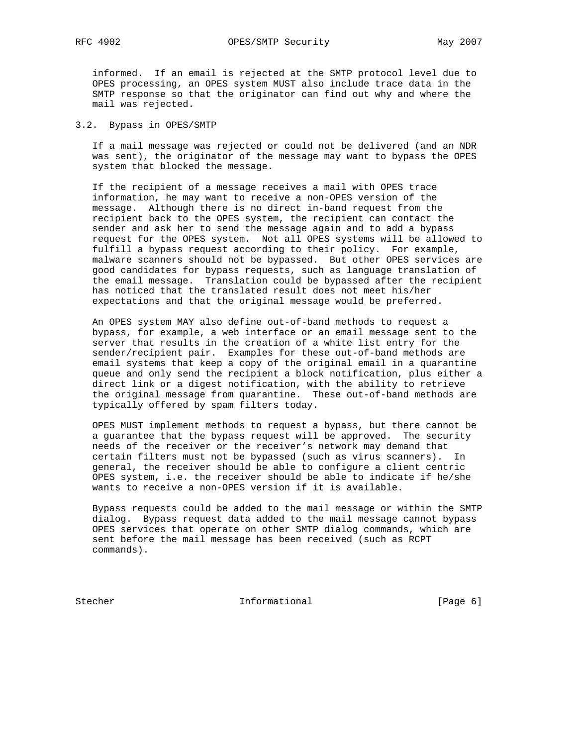informed. If an email is rejected at the SMTP protocol level due to OPES processing, an OPES system MUST also include trace data in the SMTP response so that the originator can find out why and where the mail was rejected.

#### 3.2. Bypass in OPES/SMTP

 If a mail message was rejected or could not be delivered (and an NDR was sent), the originator of the message may want to bypass the OPES system that blocked the message.

 If the recipient of a message receives a mail with OPES trace information, he may want to receive a non-OPES version of the message. Although there is no direct in-band request from the recipient back to the OPES system, the recipient can contact the sender and ask her to send the message again and to add a bypass request for the OPES system. Not all OPES systems will be allowed to fulfill a bypass request according to their policy. For example, malware scanners should not be bypassed. But other OPES services are good candidates for bypass requests, such as language translation of the email message. Translation could be bypassed after the recipient has noticed that the translated result does not meet his/her expectations and that the original message would be preferred.

 An OPES system MAY also define out-of-band methods to request a bypass, for example, a web interface or an email message sent to the server that results in the creation of a white list entry for the sender/recipient pair. Examples for these out-of-band methods are email systems that keep a copy of the original email in a quarantine queue and only send the recipient a block notification, plus either a direct link or a digest notification, with the ability to retrieve the original message from quarantine. These out-of-band methods are typically offered by spam filters today.

 OPES MUST implement methods to request a bypass, but there cannot be a guarantee that the bypass request will be approved. The security needs of the receiver or the receiver's network may demand that certain filters must not be bypassed (such as virus scanners). In general, the receiver should be able to configure a client centric OPES system, i.e. the receiver should be able to indicate if he/she wants to receive a non-OPES version if it is available.

 Bypass requests could be added to the mail message or within the SMTP dialog. Bypass request data added to the mail message cannot bypass OPES services that operate on other SMTP dialog commands, which are sent before the mail message has been received (such as RCPT commands).

Stecher **Informational Informational** [Page 6]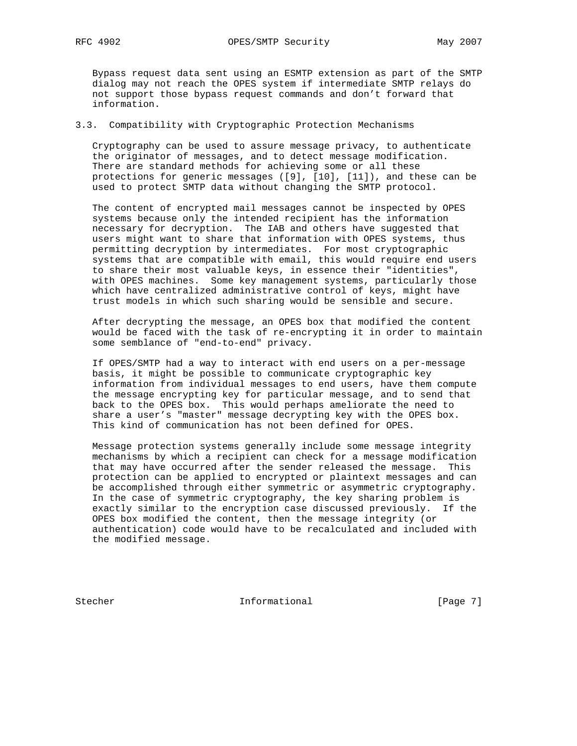Bypass request data sent using an ESMTP extension as part of the SMTP dialog may not reach the OPES system if intermediate SMTP relays do not support those bypass request commands and don't forward that information.

### 3.3. Compatibility with Cryptographic Protection Mechanisms

 Cryptography can be used to assure message privacy, to authenticate the originator of messages, and to detect message modification. There are standard methods for achieving some or all these protections for generic messages ([9], [10], [11]), and these can be used to protect SMTP data without changing the SMTP protocol.

 The content of encrypted mail messages cannot be inspected by OPES systems because only the intended recipient has the information necessary for decryption. The IAB and others have suggested that users might want to share that information with OPES systems, thus permitting decryption by intermediates. For most cryptographic systems that are compatible with email, this would require end users to share their most valuable keys, in essence their "identities", with OPES machines. Some key management systems, particularly those which have centralized administrative control of keys, might have trust models in which such sharing would be sensible and secure.

 After decrypting the message, an OPES box that modified the content would be faced with the task of re-encrypting it in order to maintain some semblance of "end-to-end" privacy.

 If OPES/SMTP had a way to interact with end users on a per-message basis, it might be possible to communicate cryptographic key information from individual messages to end users, have them compute the message encrypting key for particular message, and to send that back to the OPES box. This would perhaps ameliorate the need to share a user's "master" message decrypting key with the OPES box. This kind of communication has not been defined for OPES.

 Message protection systems generally include some message integrity mechanisms by which a recipient can check for a message modification that may have occurred after the sender released the message. This protection can be applied to encrypted or plaintext messages and can be accomplished through either symmetric or asymmetric cryptography. In the case of symmetric cryptography, the key sharing problem is exactly similar to the encryption case discussed previously. If the OPES box modified the content, then the message integrity (or authentication) code would have to be recalculated and included with the modified message.

Stecher 1. Informational [Page 7]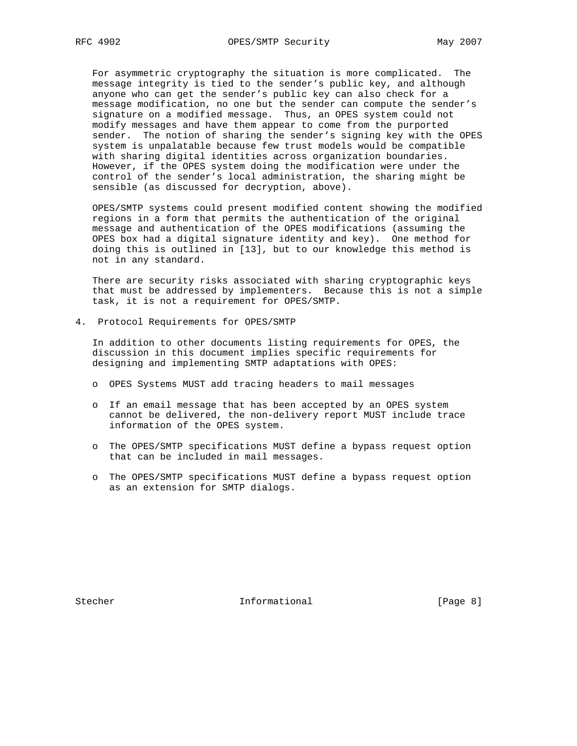For asymmetric cryptography the situation is more complicated. The message integrity is tied to the sender's public key, and although anyone who can get the sender's public key can also check for a message modification, no one but the sender can compute the sender's signature on a modified message. Thus, an OPES system could not modify messages and have them appear to come from the purported sender. The notion of sharing the sender's signing key with the OPES system is unpalatable because few trust models would be compatible with sharing digital identities across organization boundaries. However, if the OPES system doing the modification were under the control of the sender's local administration, the sharing might be sensible (as discussed for decryption, above).

 OPES/SMTP systems could present modified content showing the modified regions in a form that permits the authentication of the original message and authentication of the OPES modifications (assuming the OPES box had a digital signature identity and key). One method for doing this is outlined in [13], but to our knowledge this method is not in any standard.

 There are security risks associated with sharing cryptographic keys that must be addressed by implementers. Because this is not a simple task, it is not a requirement for OPES/SMTP.

4. Protocol Requirements for OPES/SMTP

 In addition to other documents listing requirements for OPES, the discussion in this document implies specific requirements for designing and implementing SMTP adaptations with OPES:

- o OPES Systems MUST add tracing headers to mail messages
- o If an email message that has been accepted by an OPES system cannot be delivered, the non-delivery report MUST include trace information of the OPES system.
- o The OPES/SMTP specifications MUST define a bypass request option that can be included in mail messages.
- o The OPES/SMTP specifications MUST define a bypass request option as an extension for SMTP dialogs.

Stecher 10 Informational [Page 8]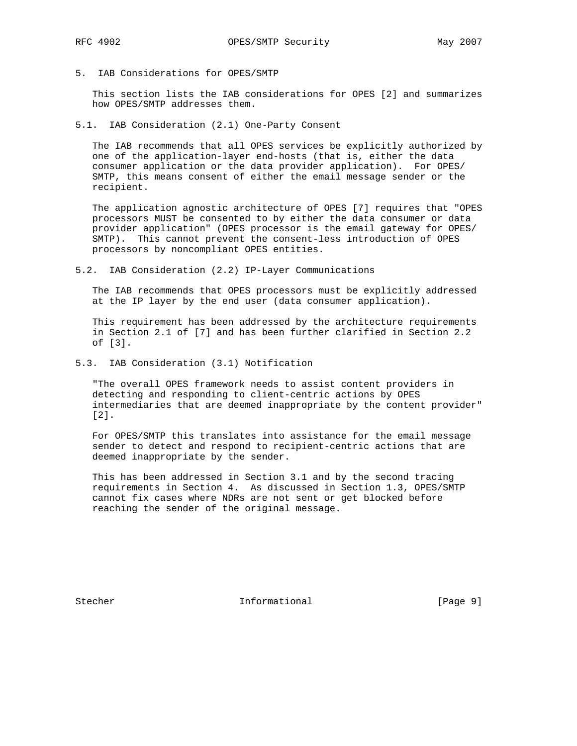5. IAB Considerations for OPES/SMTP

 This section lists the IAB considerations for OPES [2] and summarizes how OPES/SMTP addresses them.

5.1. IAB Consideration (2.1) One-Party Consent

 The IAB recommends that all OPES services be explicitly authorized by one of the application-layer end-hosts (that is, either the data consumer application or the data provider application). For OPES/ SMTP, this means consent of either the email message sender or the recipient.

 The application agnostic architecture of OPES [7] requires that "OPES processors MUST be consented to by either the data consumer or data provider application" (OPES processor is the email gateway for OPES/ SMTP). This cannot prevent the consent-less introduction of OPES processors by noncompliant OPES entities.

5.2. IAB Consideration (2.2) IP-Layer Communications

 The IAB recommends that OPES processors must be explicitly addressed at the IP layer by the end user (data consumer application).

 This requirement has been addressed by the architecture requirements in Section 2.1 of [7] and has been further clarified in Section 2.2 of [3].

5.3. IAB Consideration (3.1) Notification

 "The overall OPES framework needs to assist content providers in detecting and responding to client-centric actions by OPES intermediaries that are deemed inappropriate by the content provider" [2].

 For OPES/SMTP this translates into assistance for the email message sender to detect and respond to recipient-centric actions that are deemed inappropriate by the sender.

 This has been addressed in Section 3.1 and by the second tracing requirements in Section 4. As discussed in Section 1.3, OPES/SMTP cannot fix cases where NDRs are not sent or get blocked before reaching the sender of the original message.

Stecher 10 Informational [Page 9]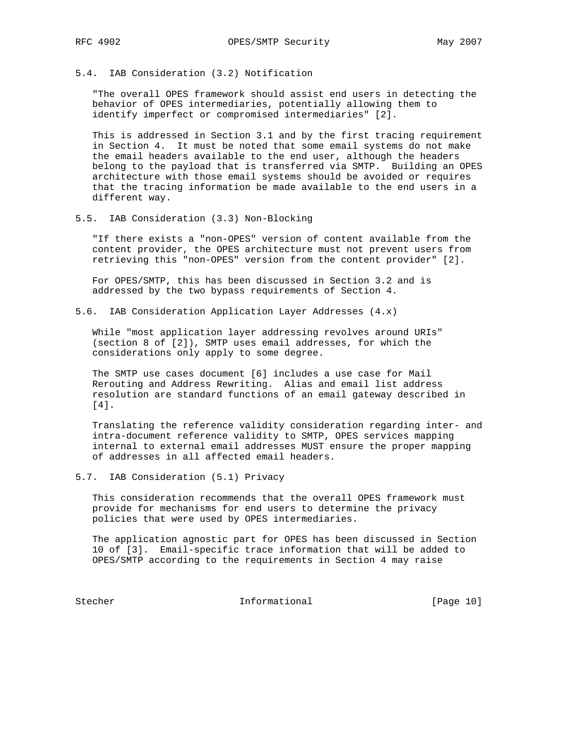5.4. IAB Consideration (3.2) Notification

 "The overall OPES framework should assist end users in detecting the behavior of OPES intermediaries, potentially allowing them to identify imperfect or compromised intermediaries" [2].

 This is addressed in Section 3.1 and by the first tracing requirement in Section 4. It must be noted that some email systems do not make the email headers available to the end user, although the headers belong to the payload that is transferred via SMTP. Building an OPES architecture with those email systems should be avoided or requires that the tracing information be made available to the end users in a different way.

5.5. IAB Consideration (3.3) Non-Blocking

 "If there exists a "non-OPES" version of content available from the content provider, the OPES architecture must not prevent users from retrieving this "non-OPES" version from the content provider" [2].

 For OPES/SMTP, this has been discussed in Section 3.2 and is addressed by the two bypass requirements of Section 4.

5.6. IAB Consideration Application Layer Addresses (4.x)

 While "most application layer addressing revolves around URIs" (section 8 of [2]), SMTP uses email addresses, for which the considerations only apply to some degree.

 The SMTP use cases document [6] includes a use case for Mail Rerouting and Address Rewriting. Alias and email list address resolution are standard functions of an email gateway described in [4].

 Translating the reference validity consideration regarding inter- and intra-document reference validity to SMTP, OPES services mapping internal to external email addresses MUST ensure the proper mapping of addresses in all affected email headers.

5.7. IAB Consideration (5.1) Privacy

 This consideration recommends that the overall OPES framework must provide for mechanisms for end users to determine the privacy policies that were used by OPES intermediaries.

 The application agnostic part for OPES has been discussed in Section 10 of [3]. Email-specific trace information that will be added to OPES/SMTP according to the requirements in Section 4 may raise

Stecher Informational [Page 10]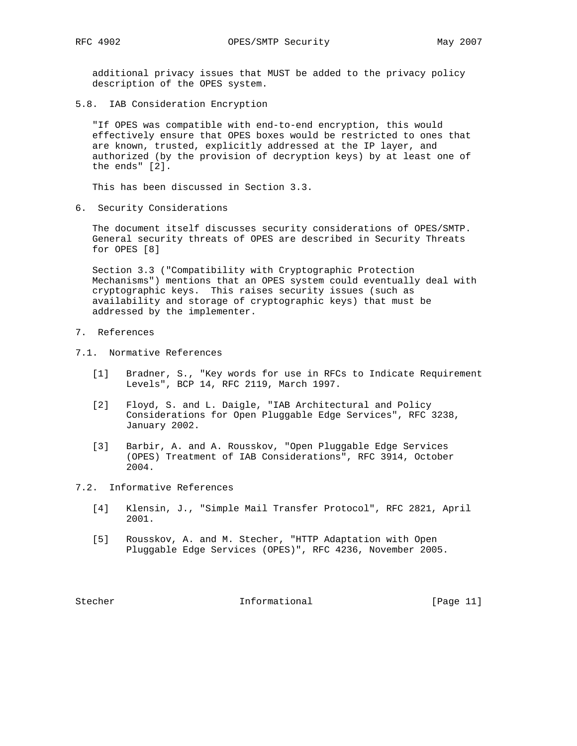additional privacy issues that MUST be added to the privacy policy description of the OPES system.

5.8. IAB Consideration Encryption

 "If OPES was compatible with end-to-end encryption, this would effectively ensure that OPES boxes would be restricted to ones that are known, trusted, explicitly addressed at the IP layer, and authorized (by the provision of decryption keys) by at least one of the ends" [2].

This has been discussed in Section 3.3.

6. Security Considerations

 The document itself discusses security considerations of OPES/SMTP. General security threats of OPES are described in Security Threats for OPES [8]

 Section 3.3 ("Compatibility with Cryptographic Protection Mechanisms") mentions that an OPES system could eventually deal with cryptographic keys. This raises security issues (such as availability and storage of cryptographic keys) that must be addressed by the implementer.

- 7. References
- 7.1. Normative References
	- [1] Bradner, S., "Key words for use in RFCs to Indicate Requirement Levels", BCP 14, RFC 2119, March 1997.
	- [2] Floyd, S. and L. Daigle, "IAB Architectural and Policy Considerations for Open Pluggable Edge Services", RFC 3238, January 2002.
	- [3] Barbir, A. and A. Rousskov, "Open Pluggable Edge Services (OPES) Treatment of IAB Considerations", RFC 3914, October 2004.
- 7.2. Informative References
	- [4] Klensin, J., "Simple Mail Transfer Protocol", RFC 2821, April 2001.
	- [5] Rousskov, A. and M. Stecher, "HTTP Adaptation with Open Pluggable Edge Services (OPES)", RFC 4236, November 2005.

Stecher 10 Informational [Page 11]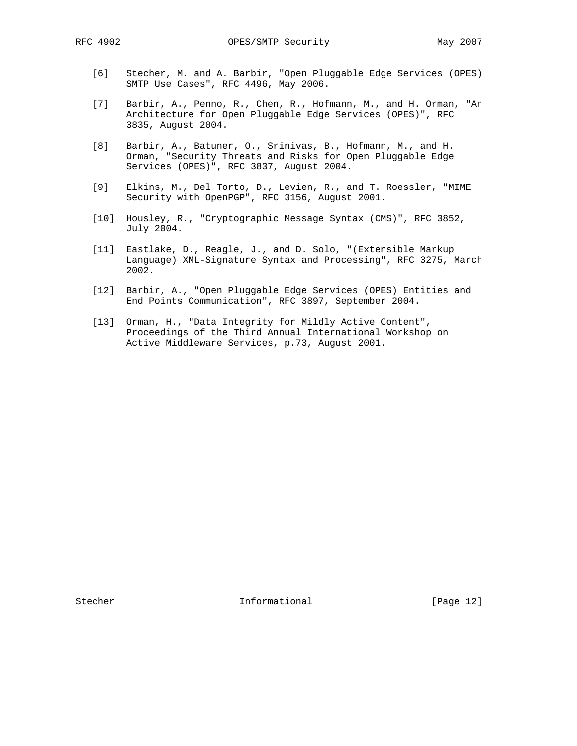- [6] Stecher, M. and A. Barbir, "Open Pluggable Edge Services (OPES) SMTP Use Cases", RFC 4496, May 2006.
- [7] Barbir, A., Penno, R., Chen, R., Hofmann, M., and H. Orman, "An Architecture for Open Pluggable Edge Services (OPES)", RFC 3835, August 2004.
- [8] Barbir, A., Batuner, O., Srinivas, B., Hofmann, M., and H. Orman, "Security Threats and Risks for Open Pluggable Edge Services (OPES)", RFC 3837, August 2004.
- [9] Elkins, M., Del Torto, D., Levien, R., and T. Roessler, "MIME Security with OpenPGP", RFC 3156, August 2001.
- [10] Housley, R., "Cryptographic Message Syntax (CMS)", RFC 3852, July 2004.
- [11] Eastlake, D., Reagle, J., and D. Solo, "(Extensible Markup Language) XML-Signature Syntax and Processing", RFC 3275, March 2002.
- [12] Barbir, A., "Open Pluggable Edge Services (OPES) Entities and End Points Communication", RFC 3897, September 2004.
- [13] Orman, H., "Data Integrity for Mildly Active Content", Proceedings of the Third Annual International Workshop on Active Middleware Services, p.73, August 2001.

Stecher 10 Informational [Page 12]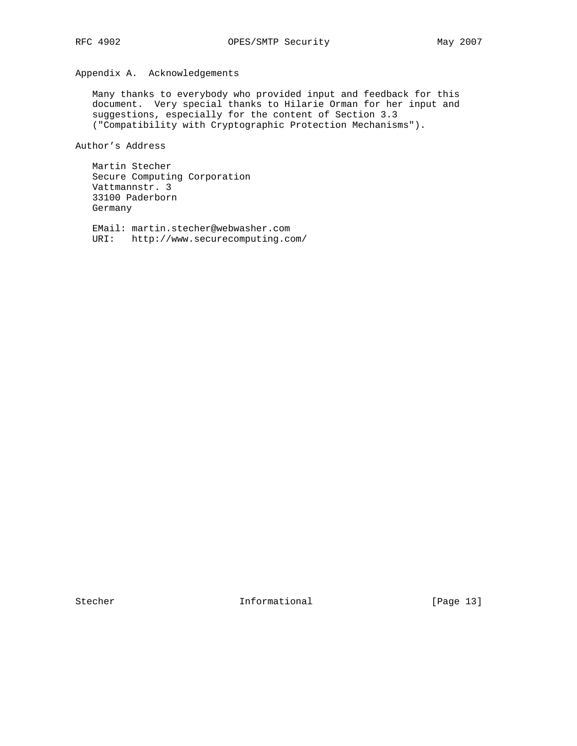# Appendix A. Acknowledgements

 Many thanks to everybody who provided input and feedback for this document. Very special thanks to Hilarie Orman for her input and suggestions, especially for the content of Section 3.3 ("Compatibility with Cryptographic Protection Mechanisms").

Author's Address

 Martin Stecher Secure Computing Corporation Vattmannstr. 3 33100 Paderborn Germany

 EMail: martin.stecher@webwasher.com URI: http://www.securecomputing.com/

Stecher Informational [Page 13]